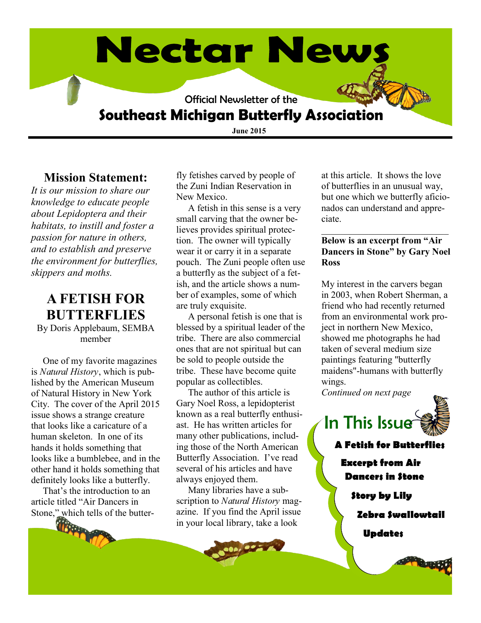# **Nectar News** Official Newsletter of the **Southeast Michigan Butterfly Association**

**June 2015**

#### **Mission Statement:**

*It is our mission to share our knowledge to educate people about Lepidoptera and their habitats, to instill and foster a passion for nature in others, and to establish and preserve the environment for butterflies, skippers and moths.* 

#### **A FETISH FOR BUTTERFLIES** By Doris Applebaum, SEMBA member

 One of my favorite magazines is *Natural History*, which is published by the American Museum of Natural History in New York City. The cover of the April 2015 issue shows a strange creature that looks like a caricature of a human skeleton. In one of its hands it holds something that looks like a bumblebee, and in the other hand it holds something that definitely looks like a butterfly.

 That's the introduction to an article titled "Air Dancers in Stone," which tells of the butterfly fetishes carved by people of the Zuni Indian Reservation in New Mexico.

 A fetish in this sense is a very small carving that the owner believes provides spiritual protection. The owner will typically wear it or carry it in a separate pouch. The Zuni people often use a butterfly as the subject of a fetish, and the article shows a number of examples, some of which are truly exquisite.

 A personal fetish is one that is blessed by a spiritual leader of the tribe. There are also commercial ones that are not spiritual but can be sold to people outside the tribe. These have become quite popular as collectibles.

 The author of this article is Gary Noel Ross, a lepidopterist known as a real butterfly enthusiast. He has written articles for many other publications, including those of the North American Butterfly Association. I've read several of his articles and have always enjoyed them.

 Many libraries have a subscription to *Natural History* magazine. If you find the April issue in your local library, take a look

at this article. It shows the love of butterflies in an unusual way, but one which we butterfly aficionados can understand and appreciate.

#### **Below is an excerpt from "Air Dancers in Stone" by Gary Noel Ross**

\_\_\_\_\_\_\_\_\_\_\_\_\_\_\_\_\_\_\_\_\_\_\_\_\_\_\_

My interest in the carvers began in 2003, when Robert Sherman, a friend who had recently returned from an environmental work project in northern New Mexico, showed me photographs he had taken of several medium size paintings featuring "butterfly maidens"-humans with butterfly wings.

*Continued on next page* 





**A Fetish for Butterflies Excerpt from Air Dancers in Stone Story by Lily Zebra Swallowtail**

**Updates**

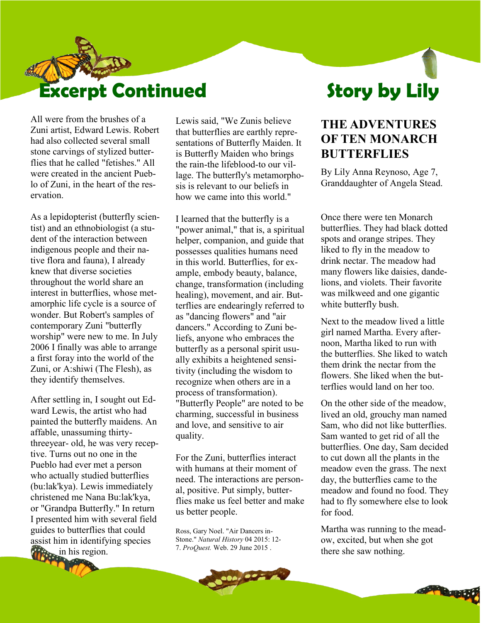

All were from the brushes of a Zuni artist, Edward Lewis. Robert had also collected several small stone carvings of stylized butterflies that he called "fetishes." All were created in the ancient Pueblo of Zuni, in the heart of the reservation.

As a lepidopterist (butterfly scientist) and an ethnobiologist (a student of the interaction between indigenous people and their native flora and fauna), I already knew that diverse societies throughout the world share an interest in butterflies, whose metamorphic life cycle is a source of wonder. But Robert's samples of contemporary Zuni "butterfly worship" were new to me. In July 2006 I finally was able to arrange a first foray into the world of the Zuni, or A:shiwi (The Flesh), as they identify themselves.

After settling in, I sought out Edward Lewis, the artist who had painted the butterfly maidens. An affable, unassuming thirtythreeyear- old, he was very receptive. Turns out no one in the Pueblo had ever met a person who actually studied butterflies (bu:lak'kya). Lewis immediately christened me Nana Bu:lak'kya, or "Grandpa Butterfly." In return I presented him with several field guides to butterflies that could assist him in identifying species **in** his region.

Lewis said, "We Zunis believe that butterflies are earthly representations of Butterfly Maiden. It is Butterfly Maiden who brings the rain-the lifeblood-to our village. The butterfly's metamorphosis is relevant to our beliefs in how we came into this world."

I learned that the butterfly is a "power animal," that is, a spiritual helper, companion, and guide that possesses qualities humans need in this world. Butterflies, for example, embody beauty, balance, change, transformation (including healing), movement, and air. Butterflies are endearingly referred to as "dancing flowers" and "air dancers." According to Zuni beliefs, anyone who embraces the butterfly as a personal spirit usually exhibits a heightened sensitivity (including the wisdom to recognize when others are in a process of transformation). "Butterfly People" are noted to be charming, successful in business and love, and sensitive to air quality.

For the Zuni, butterflies interact with humans at their moment of need. The interactions are personal, positive. Put simply, butterflies make us feel better and make us better people.

Ross, Gary Noel. "Air Dancers in-Stone." *Natural History* 04 2015: 12- 7. *ProQuest.* Web. 29 June 2015 .

#### **THE ADVENTURES OF TEN MONARCH BUTTERFLIES**

By Lily Anna Reynoso, Age 7, Granddaughter of Angela Stead.

Once there were ten Monarch butterflies. They had black dotted spots and orange stripes. They liked to fly in the meadow to drink nectar. The meadow had many flowers like daisies, dandelions, and violets. Their favorite was milkweed and one gigantic white butterfly bush.

Next to the meadow lived a little girl named Martha. Every afternoon, Martha liked to run with the butterflies. She liked to watch them drink the nectar from the flowers. She liked when the butterflies would land on her too.

On the other side of the meadow, lived an old, grouchy man named Sam, who did not like butterflies. Sam wanted to get rid of all the butterflies. One day, Sam decided to cut down all the plants in the meadow even the grass. The next day, the butterflies came to the meadow and found no food. They had to fly somewhere else to look for food.

Martha was running to the meadow, excited, but when she got there she saw nothing.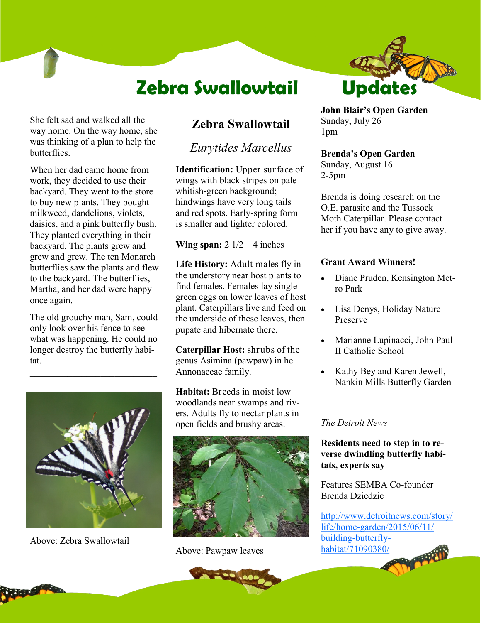## **Zebra Swallowtail**

She felt sad and walked all the way home. On the way home, she was thinking of a plan to help the **butterflies** 

When her dad came home from work, they decided to use their backyard. They went to the store to buy new plants. They bought milkweed, dandelions, violets, daisies, and a pink butterfly bush. They planted everything in their backyard. The plants grew and grew and grew. The ten Monarch butterflies saw the plants and flew to the backyard. The butterflies, Martha, and her dad were happy once again.

The old grouchy man, Sam, could only look over his fence to see what was happening. He could no longer destroy the butterfly habitat.

 $\mathcal{L}_\text{max}$ 



Above: Zebra Swallowtail

#### **Zebra Swallowtail**

*Eurytides Marcellus* 

**Identification:** Upper surface of wings with black stripes on pale whitish-green background; hindwings have very long tails and red spots. Early-spring form is smaller and lighter colored.

**Wing span:** 2 1/2—4 inches

**Life History:** Adult males fly in the understory near host plants to find females. Females lay single green eggs on lower leaves of host plant. Caterpillars live and feed on the underside of these leaves, then pupate and hibernate there.

**Caterpillar Host:** shrubs of the genus Asimina (pawpaw) in he Annonaceae family.

**Habitat:** Breeds in moist low woodlands near swamps and rivers. Adults fly to nectar plants in open fields and brushy areas.



Above: Pawpaw leaves



**John Blair's Open Garden** Sunday, July 26 1pm

#### **Brenda's Open Garden**

Sunday, August 16 2-5pm

Brenda is doing research on the O.E. parasite and the Tussock Moth Caterpillar. Please contact her if you have any to give away.

\_\_\_\_\_\_\_\_\_\_\_\_\_\_\_\_\_\_\_\_\_\_\_\_\_\_\_

#### **Grant Award Winners!**

- Diane Pruden, Kensington Metro Park
- Lisa Denys, Holiday Nature Preserve
- Marianne Lupinacci, John Paul II Catholic School
- Kathy Bey and Karen Jewell, Nankin Mills Butterfly Garden

\_\_\_\_\_\_\_\_\_\_\_\_\_\_\_\_\_\_\_\_\_\_\_\_\_\_\_

#### *The Detroit News*

**Residents need to step in to reverse dwindling butterfly habitats, experts say**

Features SEMBA Co-founder Brenda Dziedzic

[http://www.detroitnews.com/story/](http://www.detroitnews.com/story/life/home-garden/2015/06/11/building-butterfly-habitat/71090380/) life/home-[garden/2015/06/11/](http://www.detroitnews.com/story/life/home-garden/2015/06/11/building-butterfly-habitat/71090380/) building-[butterfly](http://www.detroitnews.com/story/life/home-garden/2015/06/11/building-butterfly-habitat/71090380/)[habitat/71090380/](http://www.detroitnews.com/story/life/home-garden/2015/06/11/building-butterfly-habitat/71090380/)